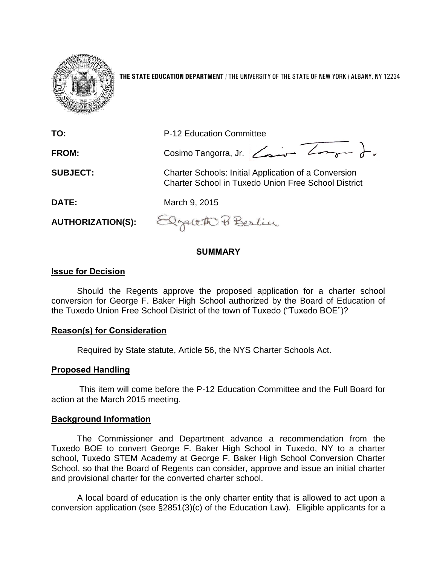

**THE STATE EDUCATION DEPARTMENT** / THE UNIVERSITY OF THE STATE OF NEW YORK / ALBANY, NY 12234

| TO:                      | P-12 Education Committee                                                                                                  |
|--------------------------|---------------------------------------------------------------------------------------------------------------------------|
| <b>FROM:</b>             | Cosimo Tangorra, Jr. Comme Longue J.                                                                                      |
| <b>SUBJECT:</b>          | <b>Charter Schools: Initial Application of a Conversion</b><br><b>Charter School in Tuxedo Union Free School District</b> |
| <b>DATE:</b>             | March 9, 2015                                                                                                             |
| <b>AUTHORIZATION(S):</b> | Elzareth Berlin                                                                                                           |

## **SUMMARY**

## **Issue for Decision**

Should the Regents approve the proposed application for a charter school conversion for George F. Baker High School authorized by the Board of Education of the Tuxedo Union Free School District of the town of Tuxedo ("Tuxedo BOE")?

## **Reason(s) for Consideration**

Required by State statute, Article 56, the NYS Charter Schools Act.

# **Proposed Handling**

This item will come before the P-12 Education Committee and the Full Board for action at the March 2015 meeting.

## **Background Information**

The Commissioner and Department advance a recommendation from the Tuxedo BOE to convert George F. Baker High School in Tuxedo, NY to a charter school, Tuxedo STEM Academy at George F. Baker High School Conversion Charter School, so that the Board of Regents can consider, approve and issue an initial charter and provisional charter for the converted charter school.

A local board of education is the only charter entity that is allowed to act upon a conversion application (see §2851(3)(c) of the Education Law). Eligible applicants for a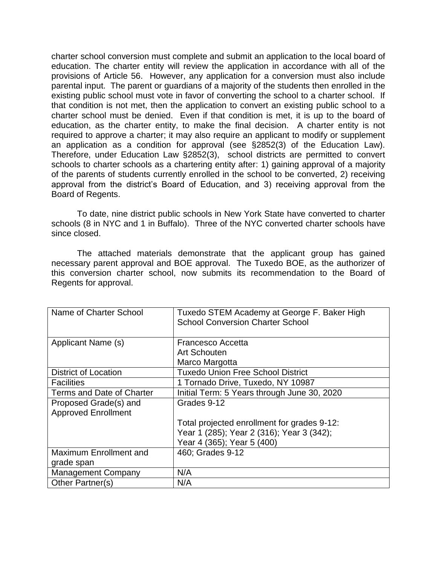charter school conversion must complete and submit an application to the local board of education. The charter entity will review the application in accordance with all of the provisions of Article 56. However, any application for a conversion must also include parental input. The parent or guardians of a majority of the students then enrolled in the existing public school must vote in favor of converting the school to a charter school. If that condition is not met, then the application to convert an existing public school to a charter school must be denied. Even if that condition is met, it is up to the board of education, as the charter entity, to make the final decision. A charter entity is not required to approve a charter; it may also require an applicant to modify or supplement an application as a condition for approval (see §2852(3) of the Education Law). Therefore, under Education Law §2852(3), school districts are permitted to convert schools to charter schools as a chartering entity after: 1) gaining approval of a majority of the parents of students currently enrolled in the school to be converted, 2) receiving approval from the district's Board of Education, and 3) receiving approval from the Board of Regents.

To date, nine district public schools in New York State have converted to charter schools (8 in NYC and 1 in Buffalo). Three of the NYC converted charter schools have since closed.

The attached materials demonstrate that the applicant group has gained necessary parent approval and BOE approval. The Tuxedo BOE, as the authorizer of this conversion charter school, now submits its recommendation to the Board of Regents for approval.

| Name of Charter School        | Tuxedo STEM Academy at George F. Baker High<br><b>School Conversion Charter School</b> |
|-------------------------------|----------------------------------------------------------------------------------------|
|                               |                                                                                        |
| Applicant Name (s)            | Francesco Accetta                                                                      |
|                               | Art Schouten                                                                           |
|                               | Marco Margotta                                                                         |
| <b>District of Location</b>   | <b>Tuxedo Union Free School District</b>                                               |
| <b>Facilities</b>             | 1 Tornado Drive, Tuxedo, NY 10987                                                      |
| Terms and Date of Charter     | Initial Term: 5 Years through June 30, 2020                                            |
| Proposed Grade(s) and         | Grades 9-12                                                                            |
| <b>Approved Enrollment</b>    |                                                                                        |
|                               | Total projected enrollment for grades 9-12:                                            |
|                               | Year 1 (285); Year 2 (316); Year 3 (342);                                              |
|                               | Year 4 (365); Year 5 (400)                                                             |
| <b>Maximum Enrollment and</b> | 460; Grades 9-12                                                                       |
| grade span                    |                                                                                        |
| <b>Management Company</b>     | N/A                                                                                    |
| Other Partner(s)              | N/A                                                                                    |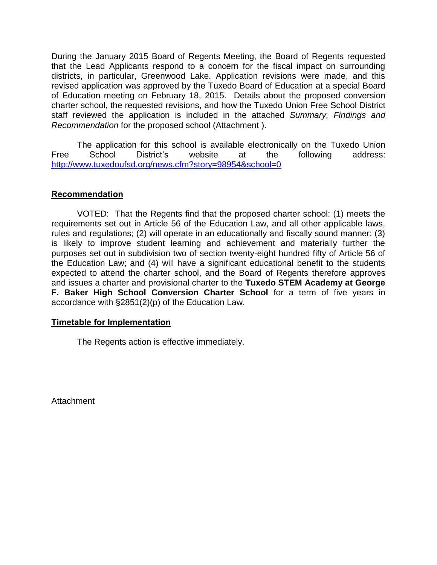During the January 2015 Board of Regents Meeting, the Board of Regents requested that the Lead Applicants respond to a concern for the fiscal impact on surrounding districts, in particular, Greenwood Lake. Application revisions were made, and this revised application was approved by the Tuxedo Board of Education at a special Board of Education meeting on February 18, 2015. Details about the proposed conversion charter school, the requested revisions, and how the Tuxedo Union Free School District staff reviewed the application is included in the attached *Summary, Findings and Recommendation* for the proposed school (Attachment ).

The application for this school is available electronically on the Tuxedo Union Free School District's website at the following address: <http://www.tuxedoufsd.org/news.cfm?story=98954&school=0>

# **Recommendation**

VOTED: That the Regents find that the proposed charter school: (1) meets the requirements set out in Article 56 of the Education Law, and all other applicable laws, rules and regulations; (2) will operate in an educationally and fiscally sound manner; (3) is likely to improve student learning and achievement and materially further the purposes set out in subdivision two of section twenty-eight hundred fifty of Article 56 of the Education Law; and (4) will have a significant educational benefit to the students expected to attend the charter school, and the Board of Regents therefore approves and issues a charter and provisional charter to the **Tuxedo STEM Academy at George F. Baker High School Conversion Charter School** for a term of five years in accordance with §2851(2)(p) of the Education Law.

# **Timetable for Implementation**

The Regents action is effective immediately.

**Attachment**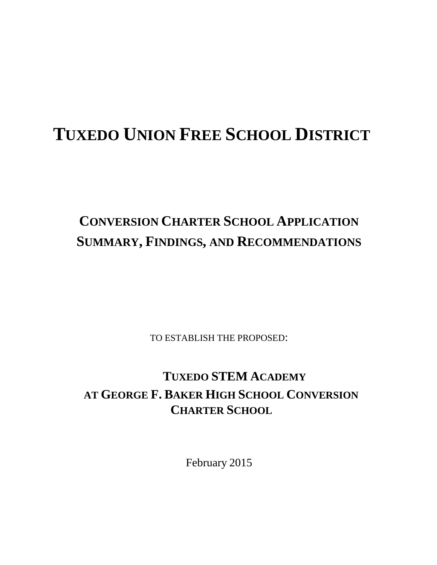# **TUXEDO UNION FREE SCHOOL DISTRICT**

# **CONVERSION CHARTER SCHOOL APPLICATION SUMMARY, FINDINGS, AND RECOMMENDATIONS**

TO ESTABLISH THE PROPOSED:

# **TUXEDO STEM ACADEMY AT GEORGE F. BAKER HIGH SCHOOL CONVERSION CHARTER SCHOOL**

February 2015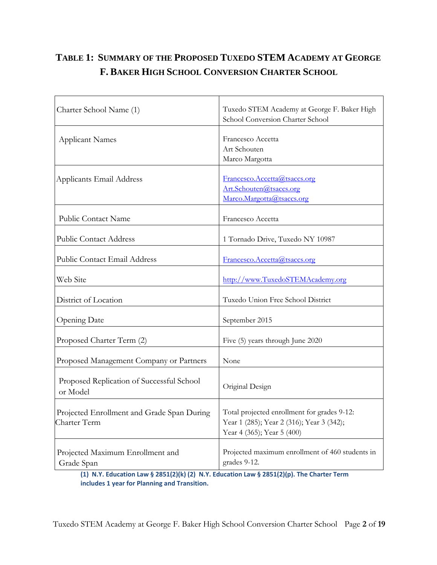# **TABLE 1: SUMMARY OF THE PROPOSED TUXEDO STEM ACADEMY AT GEORGE F. BAKER HIGH SCHOOL CONVERSION CHARTER SCHOOL**

| Charter School Name (1)                                    | Tuxedo STEM Academy at George F. Baker High<br>School Conversion Charter School                                        |  |  |
|------------------------------------------------------------|------------------------------------------------------------------------------------------------------------------------|--|--|
| <b>Applicant Names</b>                                     | Francesco Accetta<br>Art Schouten<br>Marco Margotta                                                                    |  |  |
| Applicants Email Address                                   | Francesco.Accetta@tsaccs.org<br>Art.Schouten@tsaccs.org<br>Marco.Margotta@tsaccs.org                                   |  |  |
| Public Contact Name                                        | Francesco Accetta                                                                                                      |  |  |
| <b>Public Contact Address</b>                              | 1 Tornado Drive, Tuxedo NY 10987                                                                                       |  |  |
| <b>Public Contact Email Address</b>                        | Francesco.Accetta@tsaccs.org                                                                                           |  |  |
| Web Site                                                   | http://www.TuxedoSTEMAcademy.org                                                                                       |  |  |
| District of Location                                       | Tuxedo Union Free School District                                                                                      |  |  |
| <b>Opening Date</b>                                        | September 2015                                                                                                         |  |  |
| Proposed Charter Term (2)                                  | Five (5) years through June 2020                                                                                       |  |  |
| Proposed Management Company or Partners                    | None                                                                                                                   |  |  |
| Proposed Replication of Successful School<br>or Model      | Original Design                                                                                                        |  |  |
| Projected Enrollment and Grade Span During<br>Charter Term | Total projected enrollment for grades 9-12:<br>Year 1 (285); Year 2 (316); Year 3 (342);<br>Year 4 (365); Year 5 (400) |  |  |
| Projected Maximum Enrollment and<br>Grade Span             | Projected maximum enrollment of 460 students in<br>grades 9-12.                                                        |  |  |

**(1) N.Y. Education Law § 2851(2)(k) (2) N.Y. Education Law § 2851(2)(p). The Charter Term includes 1 year for Planning and Transition.**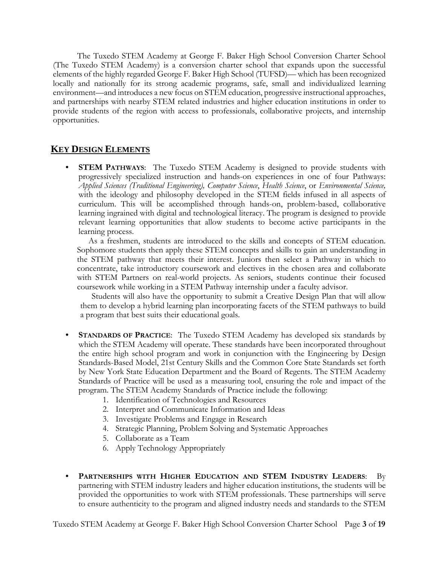The Tuxedo STEM Academy at George F. Baker High School Conversion Charter School (The Tuxedo STEM Academy) is a conversion charter school that expands upon the successful elements of the highly regarded George F. Baker High School (TUFSD)— which has been recognized locally and nationally for its strong academic programs, safe, small and individualized learning environment—and introduces a new focus on STEM education, progressive instructional approaches, and partnerships with nearby STEM related industries and higher education institutions in order to provide students of the region with access to professionals, collaborative projects, and internship opportunities.

# **KEY DESIGN ELEMENTS**

• **STEM PATHWAYS**: The Tuxedo STEM Academy is designed to provide students with progressively specialized instruction and hands-on experiences in one of four Pathways: *Applied Sciences (Traditional Engineering), Computer Science*, *Health Science*, or *Environmental Science,*  with the ideology and philosophy developed in the STEM fields infused in all aspects of curriculum. This will be accomplished through hands-on, problem-based, collaborative learning ingrained with digital and technological literacy. The program is designed to provide relevant learning opportunities that allow students to become active participants in the learning process.

As a freshmen, students are introduced to the skills and concepts of STEM education. Sophomore students then apply these STEM concepts and skills to gain an understanding in the STEM pathway that meets their interest. Juniors then select a Pathway in which to concentrate, take introductory coursework and electives in the chosen area and collaborate with STEM Partners on real-world projects. As seniors, students continue their focused coursework while working in a STEM Pathway internship under a faculty advisor.

Students will also have the opportunity to submit a Creative Design Plan that will allow them to develop a hybrid learning plan incorporating facets of the STEM pathways to build a program that best suits their educational goals.

- **STANDARDS OF PRACTICE**: The Tuxedo STEM Academy has developed six standards by which the STEM Academy will operate. These standards have been incorporated throughout the entire high school program and work in conjunction with the Engineering by Design Standards-Based Model, 21st Century Skills and the Common Core State Standards set forth by New York State Education Department and the Board of Regents. The STEM Academy Standards of Practice will be used as a measuring tool, ensuring the role and impact of the program. The STEM Academy Standards of Practice include the following:
	- 1. Identification of Technologies and Resources
	- 2. Interpret and Communicate Information and Ideas
	- 3. Investigate Problems and Engage in Research
	- 4. Strategic Planning, Problem Solving and Systematic Approaches
	- 5. Collaborate as a Team
	- 6. Apply Technology Appropriately
- **PARTNERSHIPS WITH HIGHER EDUCATION AND STEM INDUSTRY LEADERS**: By partnering with STEM industry leaders and higher education institutions, the students will be provided the opportunities to work with STEM professionals. These partnerships will serve to ensure authenticity to the program and aligned industry needs and standards to the STEM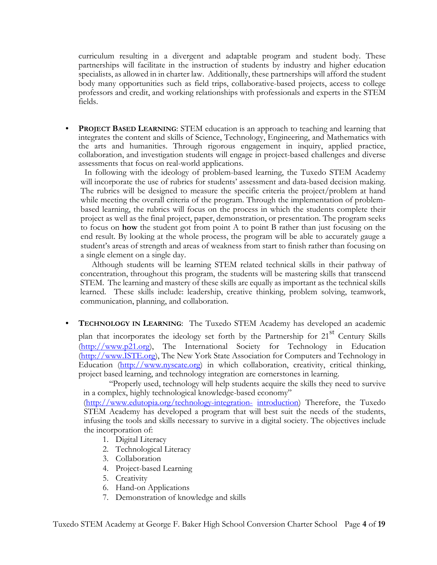curriculum resulting in a divergent and adaptable program and student body. These partnerships will facilitate in the instruction of students by industry and higher education specialists, as allowed in in charter law. Additionally, these partnerships will afford the student body many opportunities such as field trips, collaborative-based projects, access to college professors and credit, and working relationships with professionals and experts in the STEM fields.

• **PROJECT BASED LEARNING**: STEM education is an approach to teaching and learning that integrates the content and skills of Science, Technology, Engineering, and Mathematics with the arts and humanities. Through rigorous engagement in inquiry, applied practice, collaboration, and investigation students will engage in project-based challenges and diverse assessments that focus on real-world applications.

 In following with the ideology of problem-based learning, the Tuxedo STEM Academy will incorporate the use of rubrics for students' assessment and data-based decision making. The rubrics will be designed to measure the specific criteria the project/problem at hand while meeting the overall criteria of the program. Through the implementation of problembased learning, the rubrics will focus on the process in which the students complete their project as well as the final project, paper, demonstration, or presentation. The program seeks to focus on **how** the student got from point A to point B rather than just focusing on the end result. By looking at the whole process, the program will be able to accurately gauge a student's areas of strength and areas of weakness from start to finish rather than focusing on a single element on a single day.

Although students will be learning STEM related technical skills in their pathway of concentration, throughout this program, the students will be mastering skills that transcend STEM. The learning and mastery of these skills are equally as important as the technical skills learned. These skills include: leadership, creative thinking, problem solving, teamwork, communication, planning, and collaboration.

• **TECHNOLOGY IN LEARNING**: The Tuxedo STEM Academy has developed an academic

plan that incorporates the ideology set forth by the Partnership for  $21<sup>st</sup>$  Century Skills (http://www.p21.org), The International Society for Technology in Education (http://www.ISTE.org), The New York State Association for Computers and Technology in Education (http://www.nyscate.org) in which collaboration, creativity, critical thinking, project based learning, and technology integration are cornerstones in learning.

"Properly used, technology will help students acquire the skills they need to survive in a complex, highly technological knowledge-based economy"

(http://www.edutopia.org/technology-integration- introduction) Therefore, the Tuxedo STEM Academy has developed a program that will best suit the needs of the students, infusing the tools and skills necessary to survive in a digital society. The objectives include the incorporation of:

- 1. Digital Literacy
- 2. Technological Literacy
- 3. Collaboration
- 4. Project-based Learning
- 5. Creativity
- 6. Hand-on Applications
- 7. Demonstration of knowledge and skills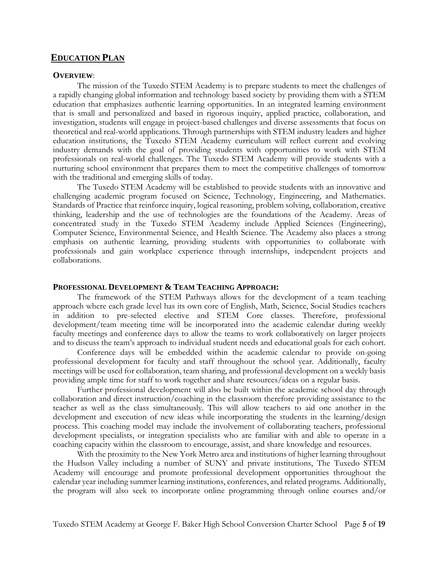# **EDUCATION PLAN**

#### **OVERVIEW**:

The mission of the Tuxedo STEM Academy is to prepare students to meet the challenges of a rapidly changing global information and technology based society by providing them with a STEM education that emphasizes authentic learning opportunities. In an integrated learning environment that is small and personalized and based in rigorous inquiry, applied practice, collaboration, and investigation, students will engage in project-based challenges and diverse assessments that focus on theoretical and real-world applications. Through partnerships with STEM industry leaders and higher education institutions, the Tuxedo STEM Academy curriculum will reflect current and evolving industry demands with the goal of providing students with opportunities to work with STEM professionals on real-world challenges. The Tuxedo STEM Academy will provide students with a nurturing school environment that prepares them to meet the competitive challenges of tomorrow with the traditional and emerging skills of today.

The Tuxedo STEM Academy will be established to provide students with an innovative and challenging academic program focused on Science, Technology, Engineering, and Mathematics. Standards of Practice that reinforce inquiry, logical reasoning, problem solving, collaboration, creative thinking, leadership and the use of technologies are the foundations of the Academy. Areas of concentrated study in the Tuxedo STEM Academy include Applied Sciences (Engineering), Computer Science, Environmental Science, and Health Science. The Academy also places a strong emphasis on authentic learning, providing students with opportunities to collaborate with professionals and gain workplace experience through internships, independent projects and collaborations.

#### **PROFESSIONAL DEVELOPMENT & TEAM TEACHING APPROACH:**

The framework of the STEM Pathways allows for the development of a team teaching approach where each grade level has its own core of English, Math, Science, Social Studies teachers in addition to pre-selected elective and STEM Core classes. Therefore, professional development/team meeting time will be incorporated into the academic calendar during weekly faculty meetings and conference days to allow the teams to work collaboratively on larger projects and to discuss the team's approach to individual student needs and educational goals for each cohort.

Conference days will be embedded within the academic calendar to provide on-going professional development for faculty and staff throughout the school year. Additionally, faculty meetings will be used for collaboration, team sharing, and professional development on a weekly basis providing ample time for staff to work together and share resources/ideas on a regular basis.

Further professional development will also be built within the academic school day through collaboration and direct instruction/coaching in the classroom therefore providing assistance to the teacher as well as the class simultaneously. This will allow teachers to aid one another in the development and execution of new ideas while incorporating the students in the learning/design process. This coaching model may include the involvement of collaborating teachers, professional development specialists, or integration specialists who are familiar with and able to operate in a coaching capacity within the classroom to encourage, assist, and share knowledge and resources.

With the proximity to the New York Metro area and institutions of higher learning throughout the Hudson Valley including a number of SUNY and private institutions, The Tuxedo STEM Academy will encourage and promote professional development opportunities throughout the calendar year including summer learning institutions, conferences, and related programs. Additionally, the program will also seek to incorporate online programming through online courses and/or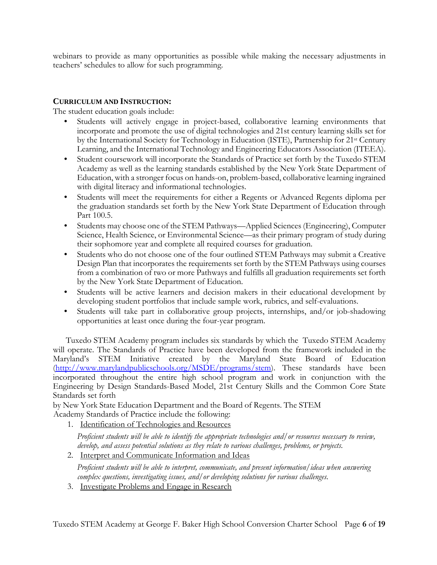webinars to provide as many opportunities as possible while making the necessary adjustments in teachers' schedules to allow for such programming.

## **CURRICULUM AND INSTRUCTION:**

The student education goals include:

- Students will actively engage in project-based, collaborative learning environments that incorporate and promote the use of digital technologies and 21st century learning skills set for by the International Society for Technology in Education (ISTE), Partnership for 21st Century Learning, and the International Technology and Engineering Educators Association (ITEEA).
- Student coursework will incorporate the Standards of Practice set forth by the Tuxedo STEM Academy as well as the learning standards established by the New York State Department of Education, with a stronger focus on hands-on, problem-based, collaborative learning ingrained with digital literacy and informational technologies.
- Students will meet the requirements for either a Regents or Advanced Regents diploma per the graduation standards set forth by the New York State Department of Education through Part 100.5.
- Students may choose one of the STEM Pathways—Applied Sciences (Engineering), Computer Science, Health Science, or Environmental Science—as their primary program of study during their sophomore year and complete all required courses for graduation.
- Students who do not choose one of the four outlined STEM Pathways may submit a Creative Design Plan that incorporates the requirements set forth by the STEM Pathways using courses from a combination of two or more Pathways and fulfills all graduation requirements set forth by the New York State Department of Education.
- Students will be active learners and decision makers in their educational development by developing student portfolios that include sample work, rubrics, and self-evaluations.
- Students will take part in collaborative group projects, internships, and/or job-shadowing opportunities at least once during the four-year program.

Tuxedo STEM Academy program includes six standards by which the Tuxedo STEM Academy will operate. The Standards of Practice have been developed from the framework included in the Maryland's STEM Initiative created by the Maryland State Board of Education (http://www.marylandpublicschools.org/MSDE/programs/stem). These standards have been incorporated throughout the entire high school program and work in conjunction with the Engineering by Design Standards-Based Model, 21st Century Skills and the Common Core State Standards set forth

by New York State Education Department and the Board of Regents. The STEM Academy Standards of Practice include the following:

1. Identification of Technologies and Resources

*Proficient students will be able to identify the appropriate technologies and/or resources necessary to review, develop, and assess potential solutions as they relate to various challenges, problems, or projects.* 

2. Interpret and Communicate Information and Ideas

*Proficient students will be able to interpret, communicate, and present information/ideas when answering complex questions, investigating issues, and/or developing solutions for various challenges.*

3. Investigate Problems and Engage in Research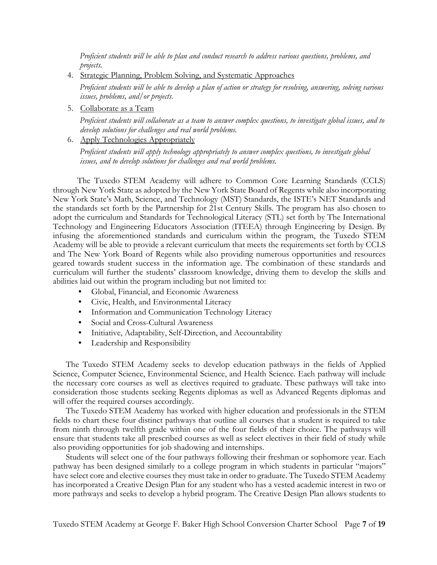*Proficient students will be able to plan and conduct research to address various questions, problems, and projects.*

4. Strategic Planning, Problem Solving, and Systematic Approaches

*Proficient students will be able to develop a plan of action or strategy for resolving, answering, solving various issues, problems, and/or projects.*

5. Collaborate as a Team

*Proficient students will collaborate as a team to answer complex questions, to investigate global issues, and to develop solutions for challenges and real world problems.*

6. Apply Technologies Appropriately

*Proficient students will apply technology appropriately to answer complex questions, to investigate global issues, and to develop solutions for challenges and real world problems.*

The Tuxedo STEM Academy will adhere to Common Core Learning Standards (CCLS) through New York State as adopted by the New York State Board of Regents while also incorporating New York State's Math, Science, and Technology (MST) Standards, the ISTE's NET Standards and the standards set forth by the Partnership for 21st Century Skills. The program has also chosen to adopt the curriculum and Standards for Technological Literacy (STL) set forth by The International Technology and Engineering Educators Association (ITEEA) through Engineering by Design. By infusing the aforementioned standards and curriculum within the program, the Tuxedo STEM Academy will be able to provide a relevant curriculum that meets the requirements set forth by CCLS and The New York Board of Regents while also providing numerous opportunities and resources geared towards student success in the information age. The combination of these standards and curriculum will further the students' classroom knowledge, driving them to develop the skills and abilities laid out within the program including but not limited to:

- Global, Financial, and Economic Awareness
- Civic, Health, and Environmental Literacy
- Information and Communication Technology Literacy
- Social and Cross-Cultural Awareness
- Initiative, Adaptability, Self-Direction, and Accountability
- Leadership and Responsibility

The Tuxedo STEM Academy seeks to develop education pathways in the fields of Applied Science, Computer Science, Environmental Science, and Health Science. Each pathway will include the necessary core courses as well as electives required to graduate. These pathways will take into consideration those students seeking Regents diplomas as well as Advanced Regents diplomas and will offer the required courses accordingly.

The Tuxedo STEM Academy has worked with higher education and professionals in the STEM fields to chart these four distinct pathways that outline all courses that a student is required to take from ninth through twelfth grade within one of the four fields of their choice. The pathways will ensure that students take all prescribed courses as well as select electives in their field of study while also providing opportunities for job shadowing and internships.

Students will select one of the four pathways following their freshman or sophomore year. Each pathway has been designed similarly to a college program in which students in particular "majors" have select core and elective courses they must take in order to graduate. The Tuxedo STEM Academy has incorporated a Creative Design Plan for any student who has a vested academic interest in two or more pathways and seeks to develop a hybrid program. The Creative Design Plan allows students to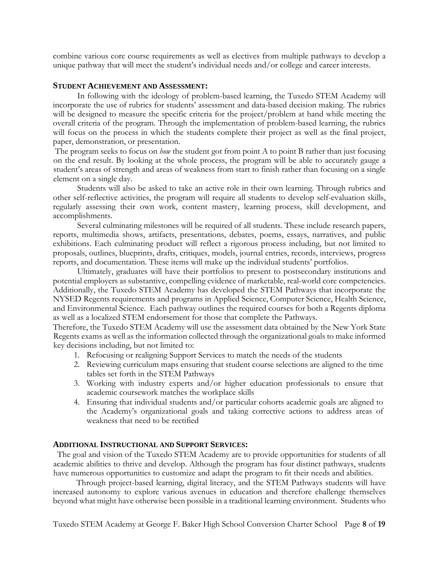combine various core course requirements as well as electives from multiple pathways to develop a unique pathway that will meet the student's individual needs and/or college and career interests.

#### **STUDENT ACHIEVEMENT AND ASSESSMENT:**

In following with the ideology of problem-based learning, the Tuxedo STEM Academy will incorporate the use of rubrics for students' assessment and data-based decision making. The rubrics will be designed to measure the specific criteria for the project/problem at hand while meeting the overall criteria of the program. Through the implementation of problem-based learning, the rubrics will focus on the process in which the students complete their project as well as the final project, paper, demonstration, or presentation.

The program seeks to focus on *how* the student got from point A to point B rather than just focusing on the end result. By looking at the whole process, the program will be able to accurately gauge a student's areas of strength and areas of weakness from start to finish rather than focusing on a single element on a single day.

Students will also be asked to take an active role in their own learning. Through rubrics and other self-reflective activities, the program will require all students to develop self-evaluation skills, regularly assessing their own work, content mastery, learning process, skill development, and accomplishments.

Several culminating milestones will be required of all students. These include research papers, reports, multimedia shows, artifacts, presentations, debates, poems, essays, narratives, and public exhibitions. Each culminating product will reflect a rigorous process including, but not limited to proposals, outlines, blueprints, drafts, critiques, models, journal entries, records, interviews, progress reports, and documentation. These items will make up the individual students' portfolios.

Ultimately, graduates will have their portfolios to present to postsecondary institutions and potential employers as substantive, compelling evidence of marketable, real-world core competencies. Additionally, the Tuxedo STEM Academy has developed the STEM Pathways that incorporate the NYSED Regents requirements and programs in Applied Science, Computer Science, Health Science, and Environmental Science. Each pathway outlines the required courses for both a Regents diploma as well as a localized STEM endorsement for those that complete the Pathways.

Therefore, the Tuxedo STEM Academy will use the assessment data obtained by the New York State Regents exams as well as the information collected through the organizational goals to make informed key decisions including, but not limited to:

- 1. Refocusing or realigning Support Services to match the needs of the students
- 2. Reviewing curriculum maps ensuring that student course selections are aligned to the time tables set forth in the STEM Pathways
- 3. Working with industry experts and/or higher education professionals to ensure that academic coursework matches the workplace skills
- 4. Ensuring that individual students and/or particular cohorts academic goals are aligned to the Academy's organizational goals and taking corrective actions to address areas of weakness that need to be rectified

#### **ADDITIONAL INSTRUCTIONAL AND SUPPORT SERVICES:**

 The goal and vision of the Tuxedo STEM Academy are to provide opportunities for students of all academic abilities to thrive and develop. Although the program has four distinct pathways, students have numerous opportunities to customize and adapt the program to fit their needs and abilities.

Through project-based learning, digital literacy, and the STEM Pathways students will have increased autonomy to explore various avenues in education and therefore challenge themselves beyond what might have otherwise been possible in a traditional learning environment. Students who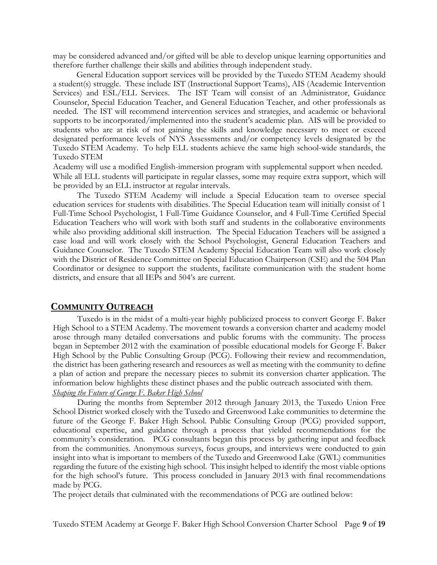may be considered advanced and/or gifted will be able to develop unique learning opportunities and therefore further challenge their skills and abilities through independent study.

General Education support services will be provided by the Tuxedo STEM Academy should a student(s) struggle. These include IST (Instructional Support Teams), AIS (Academic Intervention Services) and ESL/ELL Services. The IST Team will consist of an Administrator, Guidance Counselor, Special Education Teacher, and General Education Teacher, and other professionals as needed. The IST will recommend intervention services and strategies, and academic or behavioral supports to be incorporated/implemented into the student's academic plan. AIS will be provided to students who are at risk of not gaining the skills and knowledge necessary to meet or exceed designated performance levels of NYS Assessments and/or competency levels designated by the Tuxedo STEM Academy. To help ELL students achieve the same high school-wide standards, the Tuxedo STEM

Academy will use a modified English-immersion program with supplemental support when needed. While all ELL students will participate in regular classes, some may require extra support, which will be provided by an ELL instructor at regular intervals.

The Tuxedo STEM Academy will include a Special Education team to oversee special education services for students with disabilities. The Special Education team will initially consist of 1 Full-Time School Psychologist, 1 Full-Time Guidance Counselor, and 4 Full-Time Certified Special Education Teachers who will work with both staff and students in the collaborative environments while also providing additional skill instruction. The Special Education Teachers will be assigned a case load and will work closely with the School Psychologist, General Education Teachers and Guidance Counselor. The Tuxedo STEM Academy Special Education Team will also work closely with the District of Residence Committee on Special Education Chairperson (CSE) and the 504 Plan Coordinator or designee to support the students, facilitate communication with the student home districts, and ensure that all IEPs and 504's are current.

## **COMMUNITY OUTREACH**

Tuxedo is in the midst of a multi-year highly publicized process to convert George F. Baker High School to a STEM Academy. The movement towards a conversion charter and academy model arose through many detailed conversations and public forums with the community. The process began in September 2012 with the examination of possible educational models for George F. Baker High School by the Public Consulting Group (PCG). Following their review and recommendation, the district has been gathering research and resources as well as meeting with the community to define a plan of action and prepare the necessary pieces to submit its conversion charter application. The information below highlights these distinct phases and the public outreach associated with them. *Shaping the Future of George F. Baker High School*

During the months from September 2012 through January 2013, the Tuxedo Union Free School District worked closely with the Tuxedo and Greenwood Lake communities to determine the future of the George F. Baker High School. Public Consulting Group (PCG) provided support, educational expertise, and guidance through a process that yielded recommendations for the community's consideration. PCG consultants began this process by gathering input and feedback from the communities. Anonymous surveys, focus groups, and interviews were conducted to gain insight into what is important to members of the Tuxedo and Greenwood Lake (GWL) communities regarding the future of the existing high school. This insight helped to identify the most viable options for the high school's future. This process concluded in January 2013 with final recommendations made by PCG.

The project details that culminated with the recommendations of PCG are outlined below: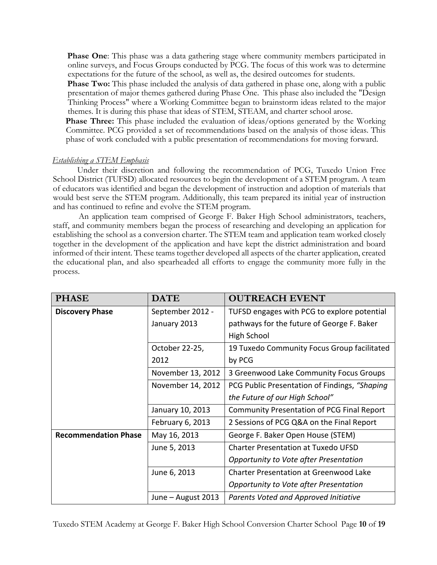**Phase One**: This phase was a data gathering stage where community members participated in online surveys, and Focus Groups conducted by PCG. The focus of this work was to determine expectations for the future of the school, as well as, the desired outcomes for students.

**Phase Two:** This phase included the analysis of data gathered in phase one, along with a public presentation of major themes gathered during Phase One. This phase also included the "Design Thinking Process" where a Working Committee began to brainstorm ideas related to the major themes. It is during this phase that ideas of STEM, STEAM, and charter school arose.

**Phase Three:** This phase included the evaluation of ideas/options generated by the Working Committee. PCG provided a set of recommendations based on the analysis of those ideas. This phase of work concluded with a public presentation of recommendations for moving forward.

#### *Establishing a STEM Emphasis*

Under their discretion and following the recommendation of PCG, Tuxedo Union Free School District (TUFSD) allocated resources to begin the development of a STEM program. A team of educators was identified and began the development of instruction and adoption of materials that would best serve the STEM program. Additionally, this team prepared its initial year of instruction and has continued to refine and evolve the STEM program.

An application team comprised of George F. Baker High School administrators, teachers, staff, and community members began the process of researching and developing an application for establishing the school as a conversion charter. The STEM team and application team worked closely together in the development of the application and have kept the district administration and board informed of their intent. These teams together developed all aspects of the charter application, created the educational plan, and also spearheaded all efforts to engage the community more fully in the process.

| <b>PHASE</b>                | <b>DATE</b>        | <b>OUTREACH EVENT</b>                             |  |
|-----------------------------|--------------------|---------------------------------------------------|--|
| <b>Discovery Phase</b>      | September 2012 -   | TUFSD engages with PCG to explore potential       |  |
|                             | January 2013       | pathways for the future of George F. Baker        |  |
|                             |                    | High School                                       |  |
|                             | October 22-25,     | 19 Tuxedo Community Focus Group facilitated       |  |
|                             | 2012               | by PCG                                            |  |
|                             | November 13, 2012  | 3 Greenwood Lake Community Focus Groups           |  |
|                             | November 14, 2012  | PCG Public Presentation of Findings, "Shaping     |  |
|                             |                    | the Future of our High School"                    |  |
|                             | January 10, 2013   | <b>Community Presentation of PCG Final Report</b> |  |
|                             | February 6, 2013   | 2 Sessions of PCG Q&A on the Final Report         |  |
| <b>Recommendation Phase</b> | May 16, 2013       | George F. Baker Open House (STEM)                 |  |
|                             | June 5, 2013       | <b>Charter Presentation at Tuxedo UFSD</b>        |  |
|                             |                    | Opportunity to Vote after Presentation            |  |
|                             | June 6, 2013       | <b>Charter Presentation at Greenwood Lake</b>     |  |
|                             |                    | Opportunity to Vote after Presentation            |  |
|                             | June – August 2013 | Parents Voted and Approved Initiative             |  |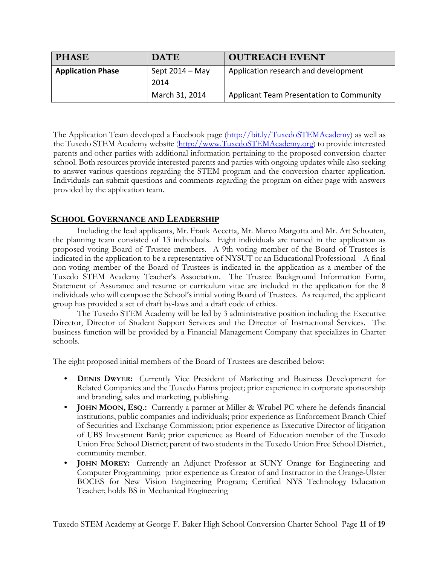| <b>PHASE</b>             | <b>DATE</b>       | <b>OUTREACH EVENT</b>                           |  |  |
|--------------------------|-------------------|-------------------------------------------------|--|--|
| <b>Application Phase</b> | Sept $2014 - May$ | Application research and development            |  |  |
|                          | 2014              |                                                 |  |  |
|                          | March 31, 2014    | <b>Applicant Team Presentation to Community</b> |  |  |

The Application Team developed a Facebook page (http://bit.ly/TuxedoSTEMAcademy) as well as the Tuxedo STEM Academy website (http://www.TuxedoSTEMAcademy.org) to provide interested parents and other parties with additional information pertaining to the proposed conversion charter school. Both resources provide interested parents and parties with ongoing updates while also seeking to answer various questions regarding the STEM program and the conversion charter application. Individuals can submit questions and comments regarding the program on either page with answers provided by the application team.

# **SCHOOL GOVERNANCE AND LEADERSHIP**

Including the lead applicants, Mr. Frank Accetta, Mr. Marco Margotta and Mr. Art Schouten, the planning team consisted of 13 individuals. Eight individuals are named in the application as proposed voting Board of Trustee members. A 9th voting member of the Board of Trustees is indicated in the application to be a representative of NYSUT or an Educational Professional A final non-voting member of the Board of Trustees is indicated in the application as a member of the Tuxedo STEM Academy Teacher's Association. The Trustee Background Information Form, Statement of Assurance and resume or curriculum vitae are included in the application for the 8 individuals who will compose the School's initial voting Board of Trustees. As required, the applicant group has provided a set of draft by-laws and a draft code of ethics.

The Tuxedo STEM Academy will be led by 3 administrative position including the Executive Director, Director of Student Support Services and the Director of Instructional Services. The business function will be provided by a Financial Management Company that specializes in Charter schools.

The eight proposed initial members of the Board of Trustees are described below:

- **DENIS DWYER:** Currently Vice President of Marketing and Business Development for Related Companies and the Tuxedo Farms project; prior experience in corporate sponsorship and branding, sales and marketing, publishing.
- **JOHN MOON, ESQ.:** Currently a partner at Miller & Wrubel PC where he defends financial institutions, public companies and individuals; prior experience as Enforcement Branch Chief of Securities and Exchange Commission; prior experience as Executive Director of litigation of UBS Investment Bank; prior experience as Board of Education member of the Tuxedo Union Free School District; parent of two students in the Tuxedo Union Free School District., community member.
- **JOHN MOREY:** Currently an Adjunct Professor at SUNY Orange for Engineering and Computer Programming; prior experience as Creator of and Instructor in the Orange-Ulster BOCES for New Vision Engineering Program; Certified NYS Technology Education Teacher; holds BS in Mechanical Engineering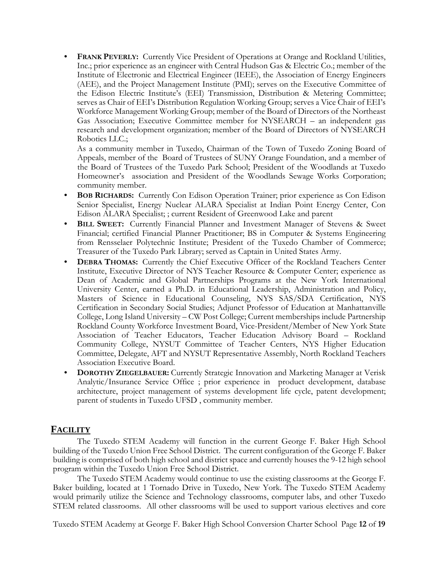**FRANK PEVERLY:** Currently Vice President of Operations at Orange and Rockland Utilities, Inc.; prior experience as an engineer with Central Hudson Gas & Electric Co.; member of the Institute of Electronic and Electrical Engineer (IEEE), the Association of Energy Engineers (AEE), and the Project Management Institute (PMI); serves on the Executive Committee of the Edison Electric Institute's (EEI) Transmission, Distribution & Metering Committee; serves as Chair of EEI's Distribution Regulation Working Group; serves a Vice Chair of EEI's Workforce Management Working Group; member of the Board of Directors of the Northeast Gas Association; Executive Committee member for NYSEARCH – an independent gas research and development organization; member of the Board of Directors of NYSEARCH Robotics LLC.;

As a community member in Tuxedo, Chairman of the Town of Tuxedo Zoning Board of Appeals, member of the Board of Trustees of SUNY Orange Foundation, and a member of the Board of Trustees of the Tuxedo Park School; President of the Woodlands at Tuxedo Homeowner's association and President of the Woodlands Sewage Works Corporation; community member.

- **BOB RICHARDS:** Currently Con Edison Operation Trainer; prior experience as Con Edison Senior Specialist, Energy Nuclear ALARA Specialist at Indian Point Energy Center, Con Edison ALARA Specialist; ; current Resident of Greenwood Lake and parent
- **BILL SWEET:** Currently Financial Planner and Investment Manager of Stevens & Sweet Financial; certified Financial Planner Practitioner; BS in Computer & Systems Engineering from Rensselaer Polytechnic Institute; President of the Tuxedo Chamber of Commerce; Treasurer of the Tuxedo Park Library; served as Captain in United States Army.
- **DEBRA THOMAS:** Currently the Chief Executive Officer of the Rockland Teachers Center Institute, Executive Director of NYS Teacher Resource & Computer Center; experience as Dean of Academic and Global Partnerships Programs at the New York International University Center, earned a Ph.D. in Educational Leadership, Administration and Policy, Masters of Science in Educational Counseling, NYS SAS/SDA Certification, NYS Certification in Secondary Social Studies; Adjunct Professor of Education at Manhattanville College, Long Island University – CW Post College; Current memberships include Partnership Rockland County Workforce Investment Board, Vice-President/Member of New York State Association of Teacher Educators, Teacher Education Advisory Board – Rockland Community College, NYSUT Committee of Teacher Centers, NYS Higher Education Committee, Delegate, AFT and NYSUT Representative Assembly, North Rockland Teachers Association Executive Board.
- **DOROTHY ZIEGELBAUER:** Currently Strategic Innovation and Marketing Manager at Verisk Analytic/Insurance Service Office ; prior experience in product development, database architecture, project management of systems development life cycle, patent development; parent of students in Tuxedo UFSD , community member.

# **FACILITY**

The Tuxedo STEM Academy will function in the current George F. Baker High School building of the Tuxedo Union Free School District. The current configuration of the George F. Baker building is comprised of both high school and district space and currently houses the 9-12 high school program within the Tuxedo Union Free School District.

The Tuxedo STEM Academy would continue to use the existing classrooms at the George F. Baker building, located at 1 Tornado Drive in Tuxedo, New York. The Tuxedo STEM Academy would primarily utilize the Science and Technology classrooms, computer labs, and other Tuxedo STEM related classrooms. All other classrooms will be used to support various electives and core

Tuxedo STEM Academy at George F. Baker High School Conversion Charter School Page **12** of **19**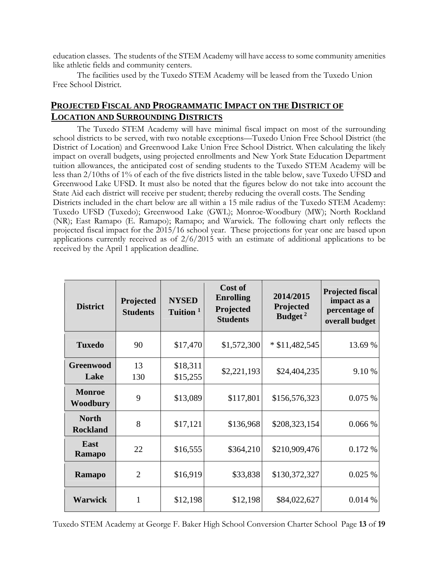education classes. The students of the STEM Academy will have access to some community amenities like athletic fields and community centers.

 The facilities used by the Tuxedo STEM Academy will be leased from the Tuxedo Union Free School District.

# **PROJECTED FISCAL AND PROGRAMMATIC IMPACT ON THE DISTRICT OF LOCATION AND SURROUNDING DISTRICTS**

received by the April 1 application deadline.

The Tuxedo STEM Academy will have minimal fiscal impact on most of the surrounding school districts to be served, with two notable exceptions—Tuxedo Union Free School District (the District of Location) and Greenwood Lake Union Free School District. When calculating the likely impact on overall budgets, using projected enrollments and New York State Education Department tuition allowances, the anticipated cost of sending students to the Tuxedo STEM Academy will be less than 2/10ths of 1% of each of the five districts listed in the table below, save Tuxedo UFSD and Greenwood Lake UFSD. It must also be noted that the figures below do not take into account the State Aid each district will receive per student; thereby reducing the overall costs. The Sending Districts included in the chart below are all within a 15 mile radius of the Tuxedo STEM Academy: Tuxedo UFSD (Tuxedo); Greenwood Lake (GWL); Monroe-Woodbury (MW); North Rockland (NR); East Ramapo (E. Ramapo); Ramapo; and Warwick. The following chart only reflects the projected fiscal impact for the 2015/16 school year. These projections for year one are based upon applications currently received as of 2/6/2015 with an estimate of additional applications to be

| <b>District</b>                 | Projected<br><b>Students</b> | <b>NYSED</b><br>Tuition <sup>1</sup> | Cost of<br><b>Enrolling</b><br>Projected<br><b>Students</b> | 2014/2015<br>Projected<br>Budget <sup>2</sup> | <b>Projected fiscal</b><br>impact as a<br>percentage of<br>overall budget |
|---------------------------------|------------------------------|--------------------------------------|-------------------------------------------------------------|-----------------------------------------------|---------------------------------------------------------------------------|
| <b>Tuxedo</b>                   | 90                           | \$17,470                             | \$1,572,300                                                 | $*$ \$11,482,545                              | 13.69 %                                                                   |
| <b>Greenwood</b><br>Lake        | 13<br>130                    | \$18,311<br>\$15,255                 | \$2,221,193                                                 | \$24,404,235                                  | 9.10 %                                                                    |
| <b>Monroe</b><br>Woodbury       | 9                            | \$13,089                             | \$117,801                                                   | \$156,576,323                                 | 0.075%                                                                    |
| <b>North</b><br><b>Rockland</b> | 8                            | \$17,121                             | \$136,968                                                   | \$208,323,154                                 | 0.066 %                                                                   |
| East<br><b>Ramapo</b>           | 22                           | \$16,555                             | \$364,210                                                   | \$210,909,476                                 | 0.172 %                                                                   |
| Ramapo                          | $\overline{2}$               | \$16,919                             | \$33,838                                                    | \$130,372,327                                 | 0.025%                                                                    |
| <b>Warwick</b>                  |                              | \$12,198                             | \$12,198                                                    | \$84,022,627                                  | 0.014%                                                                    |

Tuxedo STEM Academy at George F. Baker High School Conversion Charter School Page **13** of **19**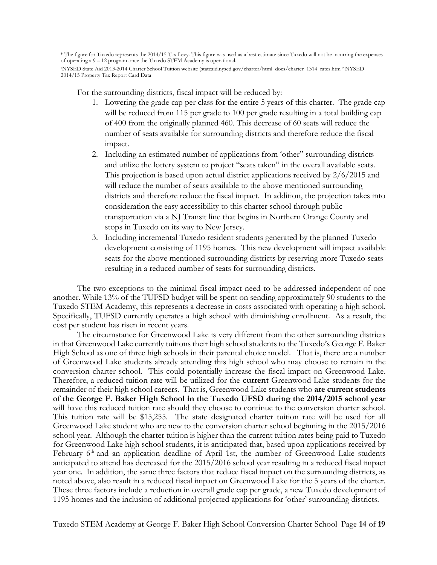\* The figure for Tuxedo represents the 2014/15 Tax Levy. This figure was used as a best estimate since Tuxedo will not be incurring the expenses of operating a 9 – 12 program once the Tuxedo STEM Academy is operational. 1NYSED State Aid 2013-2014 Charter School Tuition website (stateaid.nysed.gov/charter/html\_docs/charter\_1314\_rates.htm 2 NYSED

2014/15 Property Tax Report Card Data

For the surrounding districts, fiscal impact will be reduced by:

- 1. Lowering the grade cap per class for the entire 5 years of this charter. The grade cap will be reduced from 115 per grade to 100 per grade resulting in a total building cap of 400 from the originally planned 460. This decrease of 60 seats will reduce the number of seats available for surrounding districts and therefore reduce the fiscal impact.
- 2. Including an estimated number of applications from 'other" surrounding districts and utilize the lottery system to project "seats taken" in the overall available seats. This projection is based upon actual district applications received by 2/6/2015 and will reduce the number of seats available to the above mentioned surrounding districts and therefore reduce the fiscal impact. In addition, the projection takes into consideration the easy accessibility to this charter school through public transportation via a NJ Transit line that begins in Northern Orange County and stops in Tuxedo on its way to New Jersey.
- 3. Including incremental Tuxedo resident students generated by the planned Tuxedo development consisting of 1195 homes. This new development will impact available seats for the above mentioned surrounding districts by reserving more Tuxedo seats resulting in a reduced number of seats for surrounding districts.

The two exceptions to the minimal fiscal impact need to be addressed independent of one another. While 13% of the TUFSD budget will be spent on sending approximately 90 students to the Tuxedo STEM Academy, this represents a decrease in costs associated with operating a high school. Specifically, TUFSD currently operates a high school with diminishing enrollment. As a result, the cost per student has risen in recent years.

The circumstance for Greenwood Lake is very different from the other surrounding districts in that Greenwood Lake currently tuitions their high school students to the Tuxedo's George F. Baker High School as one of three high schools in their parental choice model. That is, there are a number of Greenwood Lake students already attending this high school who may choose to remain in the conversion charter school. This could potentially increase the fiscal impact on Greenwood Lake. Therefore, a reduced tuition rate will be utilized for the **current** Greenwood Lake students for the remainder of their high school careers. That is, Greenwood Lake students who **are current students of the George F. Baker High School in the Tuxedo UFSD during the 2014/2015 school year** will have this reduced tuition rate should they choose to continue to the conversion charter school. This tuition rate will be \$15,255. The state designated charter tuition rate will be used for all Greenwood Lake student who are new to the conversion charter school beginning in the 2015/2016 school year. Although the charter tuition is higher than the current tuition rates being paid to Tuxedo for Greenwood Lake high school students, it is anticipated that, based upon applications received by February 6<sup>th</sup> and an application deadline of April 1st, the number of Greenwood Lake students anticipated to attend has decreased for the 2015/2016 school year resulting in a reduced fiscal impact year one. In addition, the same three factors that reduce fiscal impact on the surrounding districts, as noted above, also result in a reduced fiscal impact on Greenwood Lake for the 5 years of the charter. These three factors include a reduction in overall grade cap per grade, a new Tuxedo development of 1195 homes and the inclusion of additional projected applications for 'other' surrounding districts.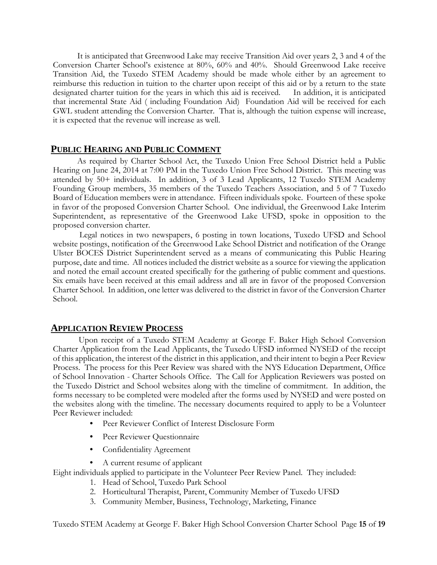It is anticipated that Greenwood Lake may receive Transition Aid over years 2, 3 and 4 of the Conversion Charter School's existence at 80%, 60% and 40%. Should Greenwood Lake receive Transition Aid, the Tuxedo STEM Academy should be made whole either by an agreement to reimburse this reduction in tuition to the charter upon receipt of this aid or by a return to the state designated charter tuition for the years in which this aid is received. In addition, it is anticipated that incremental State Aid ( including Foundation Aid) Foundation Aid will be received for each GWL student attending the Conversion Charter. That is, although the tuition expense will increase, it is expected that the revenue will increase as well.

# **PUBLIC HEARING AND PUBLIC COMMENT**

As required by Charter School Act, the Tuxedo Union Free School District held a Public Hearing on June 24, 2014 at 7:00 PM in the Tuxedo Union Free School District. This meeting was attended by 50+ individuals. In addition, 3 of 3 Lead Applicants, 12 Tuxedo STEM Academy Founding Group members, 35 members of the Tuxedo Teachers Association, and 5 of 7 Tuxedo Board of Education members were in attendance. Fifteen individuals spoke. Fourteen of these spoke in favor of the proposed Conversion Charter School. One individual, the Greenwood Lake Interim Superintendent, as representative of the Greenwood Lake UFSD, spoke in opposition to the proposed conversion charter.

 Legal notices in two newspapers, 6 posting in town locations, Tuxedo UFSD and School website postings, notification of the Greenwood Lake School District and notification of the Orange Ulster BOCES District Superintendent served as a means of communicating this Public Hearing purpose, date and time. All notices included the district website as a source for viewing the application and noted the email account created specifically for the gathering of public comment and questions. Six emails have been received at this email address and all are in favor of the proposed Conversion Charter School. In addition, one letter was delivered to the district in favor of the Conversion Charter School.

## **APPLICATION REVIEW PROCESS**

Upon receipt of a Tuxedo STEM Academy at George F. Baker High School Conversion Charter Application from the Lead Applicants, the Tuxedo UFSD informed NYSED of the receipt of this application, the interest of the district in this application, and their intent to begin a Peer Review Process. The process for this Peer Review was shared with the NYS Education Department, Office of School Innovation - Charter Schools Office. The Call for Application Reviewers was posted on the Tuxedo District and School websites along with the timeline of commitment. In addition, the forms necessary to be completed were modeled after the forms used by NYSED and were posted on the websites along with the timeline. The necessary documents required to apply to be a Volunteer Peer Reviewer included:

- Peer Reviewer Conflict of Interest Disclosure Form
- Peer Reviewer Questionnaire
- Confidentiality Agreement
- A current resume of applicant

Eight individuals applied to participate in the Volunteer Peer Review Panel. They included:

- 1. Head of School, Tuxedo Park School
- 2. Horticultural Therapist, Parent, Community Member of Tuxedo UFSD
- 3. Community Member, Business, Technology, Marketing, Finance

Tuxedo STEM Academy at George F. Baker High School Conversion Charter School Page **15** of **19**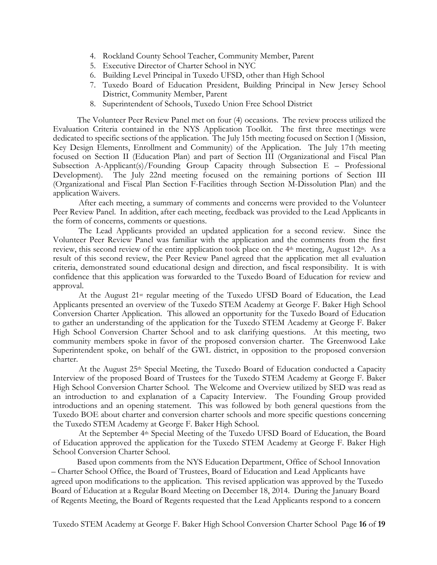- 4. Rockland County School Teacher, Community Member, Parent
- 5. Executive Director of Charter School in NYC
- 6. Building Level Principal in Tuxedo UFSD, other than High School
- 7. Tuxedo Board of Education President, Building Principal in New Jersey School District, Community Member, Parent
- 8. Superintendent of Schools, Tuxedo Union Free School District

The Volunteer Peer Review Panel met on four (4) occasions. The review process utilized the Evaluation Criteria contained in the NYS Application Toolkit. The first three meetings were dedicated to specific sections of the application. The July 15th meeting focused on Section I (Mission, Key Design Elements, Enrollment and Community) of the Application. The July 17th meeting focused on Section II (Education Plan) and part of Section III (Organizational and Fiscal Plan Subsection A-Applicant(s)/Founding Group Capacity through Subsection E – Professional Development). The July 22nd meeting focused on the remaining portions of Section III (Organizational and Fiscal Plan Section F-Facilities through Section M-Dissolution Plan) and the application Waivers.

After each meeting, a summary of comments and concerns were provided to the Volunteer Peer Review Panel. In addition, after each meeting, feedback was provided to the Lead Applicants in the form of concerns, comments or questions.

The Lead Applicants provided an updated application for a second review. Since the Volunteer Peer Review Panel was familiar with the application and the comments from the first review, this second review of the entire application took place on the 4<sup>th</sup> meeting, August 12<sup>th</sup>. As a result of this second review, the Peer Review Panel agreed that the application met all evaluation criteria, demonstrated sound educational design and direction, and fiscal responsibility. It is with confidence that this application was forwarded to the Tuxedo Board of Education for review and approval.

At the August 21st regular meeting of the Tuxedo UFSD Board of Education, the Lead Applicants presented an overview of the Tuxedo STEM Academy at George F. Baker High School Conversion Charter Application. This allowed an opportunity for the Tuxedo Board of Education to gather an understanding of the application for the Tuxedo STEM Academy at George F. Baker High School Conversion Charter School and to ask clarifying questions. At this meeting, two community members spoke in favor of the proposed conversion charter. The Greenwood Lake Superintendent spoke, on behalf of the GWL district, in opposition to the proposed conversion charter.

At the August 25th Special Meeting, the Tuxedo Board of Education conducted a Capacity Interview of the proposed Board of Trustees for the Tuxedo STEM Academy at George F. Baker High School Conversion Charter School. The Welcome and Overview utilized by SED was read as an introduction to and explanation of a Capacity Interview. The Founding Group provided introductions and an opening statement. This was followed by both general questions from the Tuxedo BOE about charter and conversion charter schools and more specific questions concerning the Tuxedo STEM Academy at George F. Baker High School.

At the September 4th Special Meeting of the Tuxedo UFSD Board of Education, the Board of Education approved the application for the Tuxedo STEM Academy at George F. Baker High School Conversion Charter School.

Based upon comments from the NYS Education Department, Office of School Innovation – Charter School Office, the Board of Trustees, Board of Education and Lead Applicants have agreed upon modifications to the application. This revised application was approved by the Tuxedo Board of Education at a Regular Board Meeting on December 18, 2014. During the January Board of Regents Meeting, the Board of Regents requested that the Lead Applicants respond to a concern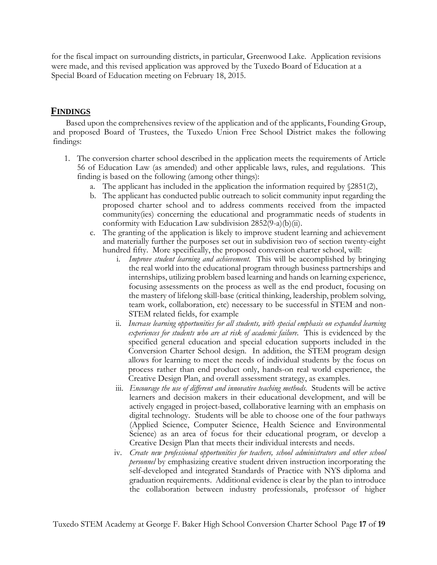for the fiscal impact on surrounding districts, in particular, Greenwood Lake. Application revisions were made, and this revised application was approved by the Tuxedo Board of Education at a Special Board of Education meeting on February 18, 2015.

# **FINDINGS**

Based upon the comprehensives review of the application and of the applicants, Founding Group, and proposed Board of Trustees, the Tuxedo Union Free School District makes the following findings:

- 1. The conversion charter school described in the application meets the requirements of Article 56 of Education Law (as amended) and other applicable laws, rules, and regulations. This finding is based on the following (among other things):
	- a. The applicant has included in the application the information required by  $$2851(2)$ ,
	- b. The applicant has conducted public outreach to solicit community input regarding the proposed charter school and to address comments received from the impacted community(ies) concerning the educational and programmatic needs of students in conformity with Education Law subdivision 2852(9-a)(b)(ii).
	- c. The granting of the application is likely to improve student learning and achievement and materially further the purposes set out in subdivision two of section twenty-eight hundred fifty. More specifically, the proposed conversion charter school, will:
		- i. *Improve student learning and achievement.* This will be accomplished by bringing the real world into the educational program through business partnerships and internships, utilizing problem based learning and hands on learning experience, focusing assessments on the process as well as the end product, focusing on the mastery of lifelong skill-base (critical thinking, leadership, problem solving, team work, collaboration, etc) necessary to be successful in STEM and non-STEM related fields, for example
		- ii. *Increase learning opportunities for all students, with special emphasis on expanded learning experiences for students who are at risk of academic failure.* This is evidenced by the specified general education and special education supports included in the Conversion Charter School design. In addition, the STEM program design allows for learning to meet the needs of individual students by the focus on process rather than end product only, hands-on real world experience, the Creative Design Plan, and overall assessment strategy, as examples.
		- iii. *Encourage the use of different and innovative teaching methods.* Students will be active learners and decision makers in their educational development, and will be actively engaged in project-based, collaborative learning with an emphasis on digital technology. Students will be able to choose one of the four pathways (Applied Science, Computer Science, Health Science and Environmental Science) as an area of focus for their educational program, or develop a Creative Design Plan that meets their individual interests and needs.
		- iv. *Create new professional opportunities for teachers, school administrators and other school personnel* by emphasizing creative student driven instruction incorporating the self-developed and integrated Standards of Practice with NYS diploma and graduation requirements. Additional evidence is clear by the plan to introduce the collaboration between industry professionals, professor of higher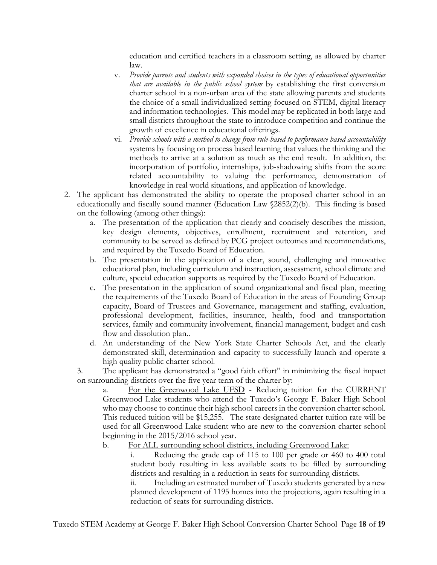education and certified teachers in a classroom setting, as allowed by charter law.

- v. *Provide parents and students with expanded choices in the types of educational opportunities that are available in the public school system* by establishing the first conversion charter school in a non-urban area of the state allowing parents and students the choice of a small individualized setting focused on STEM, digital literacy and information technologies. This model may be replicated in both large and small districts throughout the state to introduce competition and continue the growth of excellence in educational offerings.
- vi. *Provide schools with a method to change from rule-based to performance based accountability*  systems by focusing on process based learning that values the thinking and the methods to arrive at a solution as much as the end result. In addition, the incorporation of portfolio, internships, job-shadowing shifts from the score related accountability to valuing the performance, demonstration of knowledge in real world situations, and application of knowledge.
- 2. The applicant has demonstrated the ability to operate the proposed charter school in an educationally and fiscally sound manner (Education Law §2852(2)(b). This finding is based on the following (among other things):
	- a. The presentation of the application that clearly and concisely describes the mission, key design elements, objectives, enrollment, recruitment and retention, and community to be served as defined by PCG project outcomes and recommendations, and required by the Tuxedo Board of Education.
	- b. The presentation in the application of a clear, sound, challenging and innovative educational plan, including curriculum and instruction, assessment, school climate and culture, special education supports as required by the Tuxedo Board of Education.
	- c. The presentation in the application of sound organizational and fiscal plan, meeting the requirements of the Tuxedo Board of Education in the areas of Founding Group capacity, Board of Trustees and Governance, management and staffing, evaluation, professional development, facilities, insurance, health, food and transportation services, family and community involvement, financial management, budget and cash flow and dissolution plan..
	- d. An understanding of the New York State Charter Schools Act, and the clearly demonstrated skill, determination and capacity to successfully launch and operate a high quality public charter school.

3. The applicant has demonstrated a "good faith effort" in minimizing the fiscal impact on surrounding districts over the five year term of the charter by:

For the Greenwood Lake UFSD - Reducing tuition for the CURRENT Greenwood Lake students who attend the Tuxedo's George F. Baker High School who may choose to continue their high school careers in the conversion charter school. This reduced tuition will be \$15,255. The state designated charter tuition rate will be used for all Greenwood Lake student who are new to the conversion charter school beginning in the 2015/2016 school year.

b. For ALL surrounding school districts, including Greenwood Lake:

i. Reducing the grade cap of 115 to 100 per grade or 460 to 400 total student body resulting in less available seats to be filled by surrounding districts and resulting in a reduction in seats for surrounding districts.

ii. Including an estimated number of Tuxedo students generated by a new planned development of 1195 homes into the projections, again resulting in a reduction of seats for surrounding districts.